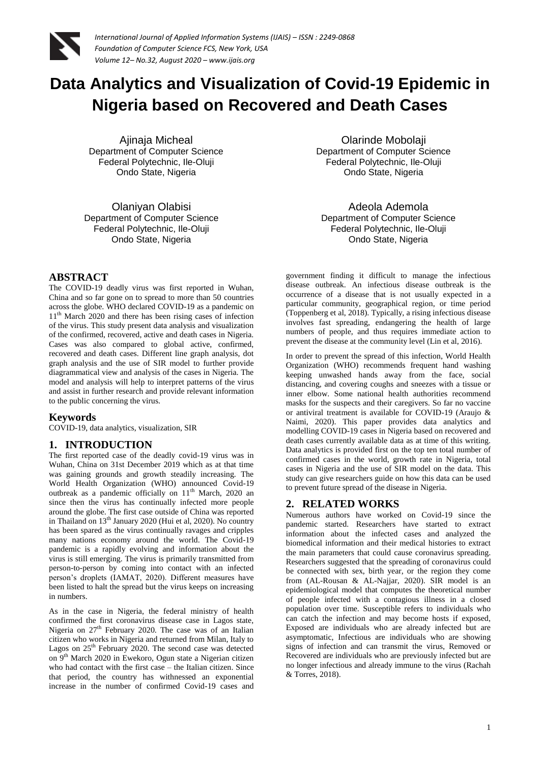

# **Data Analytics and Visualization of Covid-19 Epidemic in Nigeria based on Recovered and Death Cases**

Ajinaja Micheal Department of Computer Science Federal Polytechnic, Ile-Oluji Ondo State, Nigeria

Olaniyan Olabisi Department of Computer Science Federal Polytechnic, Ile-Oluji Ondo State, Nigeria

**ABSTRACT**

The COVID-19 deadly virus was first reported in Wuhan, China and so far gone on to spread to more than 50 countries across the globe. WHO declared COVID-19 as a pandemic on 11<sup>th</sup> March 2020 and there has been rising cases of infection of the virus. This study present data analysis and visualization of the confirmed, recovered, active and death cases in Nigeria. Cases was also compared to global active, confirmed, recovered and death cases. Different line graph analysis, dot graph analysis and the use of SIR model to further provide diagrammatical view and analysis of the cases in Nigeria. The model and analysis will help to interpret patterns of the virus and assist in further research and provide relevant information to the public concerning the virus.

## **Keywords**

COVID-19, data analytics, visualization, SIR

## **1. INTRODUCTION**

The first reported case of the deadly covid-19 virus was in Wuhan, China on 31st December 2019 which as at that time was gaining grounds and growth steadily increasing. The World Health Organization (WHO) announced Covid-19 outbreak as a pandemic officially on  $11<sup>th</sup>$  March, 2020 an since then the virus has continually infected more people around the globe. The first case outside of China was reported in Thailand on 13<sup>th</sup> January 2020 (Hui et al, 2020). No country has been spared as the virus continually ravages and cripples many nations economy around the world. The Covid-19 pandemic is a rapidly evolving and information about the virus is still emerging. The virus is primarily transmitted from person-to-person by coming into contact with an infected person's droplets (IAMAT, 2020). Different measures have been listed to halt the spread but the virus keeps on increasing in numbers.

As in the case in Nigeria, the federal ministry of health confirmed the first coronavirus disease case in Lagos state, Nigeria on  $27<sup>th</sup>$  February 2020. The case was of an Italian citizen who works in Nigeria and returned from Milan, Italy to Lagos on  $25<sup>th</sup>$  February 2020. The second case was detected on 9th March 2020 in Ewekoro, Ogun state a Nigerian citizen who had contact with the first case – the Italian citizen. Since that period, the country has withnessed an exponential increase in the number of confirmed Covid-19 cases and

Olarinde Mobolaji Department of Computer Science Federal Polytechnic, Ile-Oluji Ondo State, Nigeria

Adeola Ademola Department of Computer Science Federal Polytechnic, Ile-Oluji Ondo State, Nigeria

government finding it difficult to manage the infectious disease outbreak. An infectious disease outbreak is the occurrence of a disease that is not usually expected in a particular community, geographical region, or time period (Toppenberg et al, 2018). Typically, a rising infectious disease involves fast spreading, endangering the health of large numbers of people, and thus requires immediate action to prevent the disease at the community level (Lin et al, 2016).

In order to prevent the spread of this infection, World Health Organization (WHO) recommends frequent hand washing keeping unwashed hands away from the face, social distancing, and covering coughs and sneezes with a tissue or inner elbow. Some national health authorities recommend masks for the suspects and their caregivers. So far no vaccine or antiviral treatment is available for COVID-19 (Araujo & Naimi, 2020). This paper provides data analytics and modelling COVID-19 cases in Nigeria based on recovered and death cases currently available data as at time of this writing. Data analytics is provided first on the top ten total number of confirmed cases in the world, growth rate in Nigeria, total cases in Nigeria and the use of SIR model on the data. This study can give researchers guide on how this data can be used to prevent future spread of the disease in Nigeria.

# **2. RELATED WORKS**

Numerous authors have worked on Covid-19 since the pandemic started. Researchers have started to extract information about the infected cases and analyzed the biomedical information and their medical histories to extract the main parameters that could cause coronavirus spreading. Researchers suggested that the spreading of coronavirus could be connected with sex, birth year, or the region they come from (AL-Rousan & AL-Najjar, 2020). SIR model is an epidemiological model that computes the theoretical number of people infected with a contagious illness in a closed population over time. Susceptible refers to individuals who can catch the infection and may become hosts if exposed, Exposed are individuals who are already infected but are asymptomatic, Infectious are individuals who are showing signs of infection and can transmit the virus, Removed or Recovered are individuals who are previously infected but are no longer infectious and already immune to the virus (Rachah & Torres, 2018).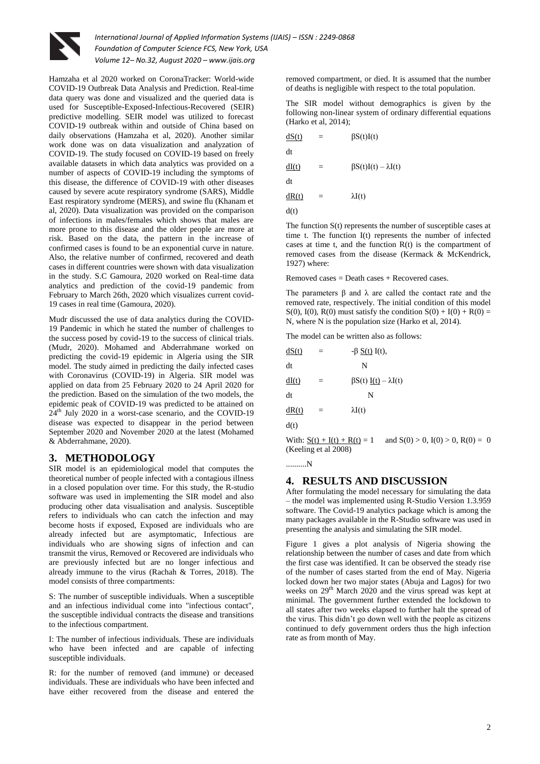

Hamzaha et al 2020 worked on CoronaTracker: World-wide COVID-19 Outbreak Data Analysis and Prediction. Real-time data query was done and visualized and the queried data is used for Susceptible-Exposed-Infectious-Recovered (SEIR) predictive modelling. SEIR model was utilized to forecast COVID-19 outbreak within and outside of China based on daily observations (Hamzaha et al, 2020). Another similar work done was on data visualization and analyzation of COVID-19. The study focused on COVID-19 based on freely available datasets in which data analytics was provided on a number of aspects of COVID-19 including the symptoms of this disease, the difference of COVID-19 with other diseases caused by severe acute respiratory syndrome (SARS), Middle East respiratory syndrome (MERS), and swine flu (Khanam et al, 2020). Data visualization was provided on the comparison of infections in males/females which shows that males are more prone to this disease and the older people are more at risk. Based on the data, the pattern in the increase of confirmed cases is found to be an exponential curve in nature. Also, the relative number of confirmed, recovered and death cases in different countries were shown with data visualization in the study. S.C Gamoura, 2020 worked on Real-time data analytics and prediction of the covid-19 pandemic from February to March 26th, 2020 which visualizes current covid-19 cases in real time (Gamoura, 2020).

Mudr discussed the use of data analytics during the COVID-19 Pandemic in which he stated the number of challenges to the success posed by covid-19 to the success of clinical trials. (Mudr, 2020). Mohamed and Abderrahmane worked on predicting the covid-19 epidemic in Algeria using the SIR model. The study aimed in predicting the daily infected cases with Coronavirus (COVID-19) in Algeria. SIR model was applied on data from 25 February 2020 to 24 April 2020 for the prediction. Based on the simulation of the two models, the epidemic peak of COVID-19 was predicted to be attained on  $24<sup>th</sup>$  July 2020 in a worst-case scenario, and the COVID-19 disease was expected to disappear in the period between September 2020 and November 2020 at the latest (Mohamed & Abderrahmane, 2020).

# **3. METHODOLOGY**

SIR model is an epidemiological model that computes the theoretical number of people infected with a contagious illness in a closed population over time. For this study, the R-studio software was used in implementing the SIR model and also producing other data visualisation and analysis. Susceptible refers to individuals who can catch the infection and may become hosts if exposed, Exposed are individuals who are already infected but are asymptomatic, Infectious are individuals who are showing signs of infection and can transmit the virus, Removed or Recovered are individuals who are previously infected but are no longer infectious and already immune to the virus (Rachah & Torres, 2018). The model consists of three compartments:

S: The number of susceptible individuals. When a susceptible and an infectious individual come into "infectious contact", the susceptible individual contracts the disease and transitions to the infectious compartment.

I: The number of infectious individuals. These are individuals who have been infected and are capable of infecting susceptible individuals.

R: for the number of removed (and immune) or deceased individuals. These are individuals who have been infected and have either recovered from the disease and entered the removed compartment, or died. It is assumed that the number of deaths is negligible with respect to the total population.

The SIR model without demographics is given by the following non-linear system of ordinary differential equations (Harko et al, 2014);

| dS(t) |     | $\beta S(t)I(t)$                |
|-------|-----|---------------------------------|
| dt    |     |                                 |
| dI(t) |     | $\beta S(t)I(t) - \lambda I(t)$ |
| dt    |     |                                 |
| dR(t) | $=$ | $\lambda I(t)$                  |
| d(t)  |     |                                 |

The function S(t) represents the number of susceptible cases at time t. The function I(t) represents the number of infected cases at time t, and the function R(t) is the compartment of removed cases from the disease (Kermack & McKendrick, 1927) where:

 $Removed cases = Death cases + Recovery.$ 

The parameters  $\beta$  and  $\lambda$  are called the contact rate and the removed rate, respectively. The initial condition of this model S(0), I(0), R(0) must satisfy the condition  $S(0) + I(0) + R(0) =$ N, where N is the population size (Harko et al, 2014).

The model can be written also as follows:

| dS(t) |                      | $-\beta S(t) I(t)$ ,           |                                  |
|-------|----------------------|--------------------------------|----------------------------------|
| dt    |                      | N                              |                                  |
| dI(t) | =                    |                                | $\beta S(t) I(t) - \lambda I(t)$ |
| dt    |                      | N                              |                                  |
| dR(t) |                      | $\lambda I(t)$                 |                                  |
| d(t)  |                      |                                |                                  |
|       |                      | With: $S(t) + I(t) + R(t) = 1$ | and $S(0) > 0$ , $I(0) > 0$ .    |
|       | (Keeling et al 2008) |                                |                                  |

..........N

# **4. RESULTS AND DISCUSSION**

After formulating the model necessary for simulating the data – the model was implemented using R-Studio Version 1.3.959 software. The Covid-19 analytics package which is among the many packages available in the R-Studio software was used in presenting the analysis and simulating the SIR model.

Figure 1 gives a plot analysis of Nigeria showing the relationship between the number of cases and date from which the first case was identified. It can be observed the steady rise of the number of cases started from the end of May. Nigeria locked down her two major states (Abuja and Lagos) for two weeks on 29<sup>th</sup> March 2020 and the virus spread was kept at minimal. The government further extended the lockdown to all states after two weeks elapsed to further halt the spread of the virus. This didn't go down well with the people as citizens continued to defy government orders thus the high infection rate as from month of May.

 $R(0) = 0$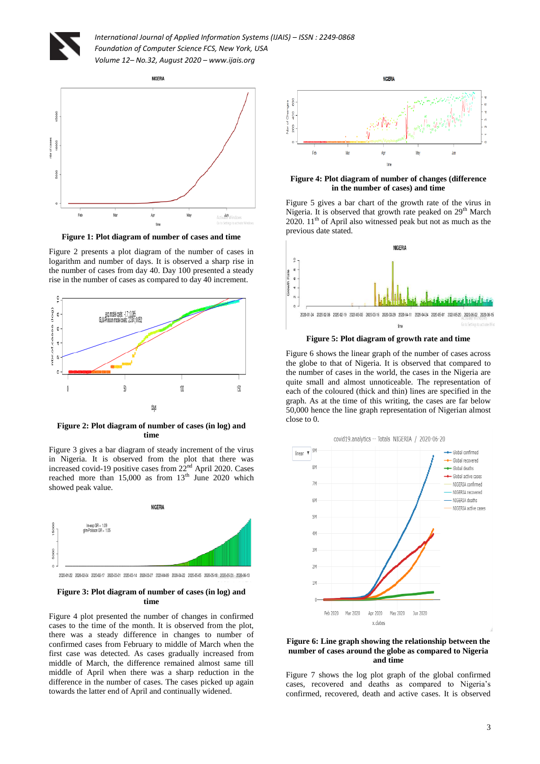



**Figure 1: Plot diagram of number of cases and time**

Figure 2 presents a plot diagram of the number of cases in logarithm and number of days. It is observed a sharp rise in the number of cases from day 40. Day 100 presented a steady rise in the number of cases as compared to day 40 increment.



**Figure 2: Plot diagram of number of cases (in log) and time**

Figure 3 gives a bar diagram of steady increment of the virus in Nigeria. It is observed from the plot that there was increased covid-19 positive cases from  $22<sup>nd</sup>$  April 2020. Cases reached more than  $15,000$  as from  $13<sup>th</sup>$  June 2020 which showed peak value.



2020-01-22 2020-02-04 2020-02-17 2020-03-01 2020-03-14 2020-03-27 2020-04-09 2020-04-22 2020-05-05 2020-05-18 2020-05-03 2020-05-13

#### **Figure 3: Plot diagram of number of cases (in log) and time**

Figure 4 plot presented the number of changes in confirmed cases to the time of the month. It is observed from the plot, there was a steady difference in changes to number of confirmed cases from February to middle of March when the first case was detected. As cases gradually increased from middle of March, the difference remained almost same till middle of April when there was a sharp reduction in the difference in the number of cases. The cases picked up again towards the latter end of April and continually widened.



**Figure 4: Plot diagram of number of changes (difference in the number of cases) and time**

Figure 5 gives a bar chart of the growth rate of the virus in Nigeria. It is observed that growth rate peaked on 29<sup>th</sup> March 2020.  $11<sup>th</sup>$  of April also witnessed peak but not as much as the previous date stated.



**Figure 5: Plot diagram of growth rate and time**

Figure 6 shows the linear graph of the number of cases across the globe to that of Nigeria. It is observed that compared to the number of cases in the world, the cases in the Nigeria are quite small and almost unnoticeable. The representation of each of the coloured (thick and thin) lines are specified in the graph. As at the time of this writing, the cases are far below 50,000 hence the line graph representation of Nigerian almost close to 0.



#### **Figure 6: Line graph showing the relationship between the number of cases around the globe as compared to Nigeria and time**

Figure 7 shows the log plot graph of the global confirmed cases, recovered and deaths as compared to Nigeria's confirmed, recovered, death and active cases. It is observed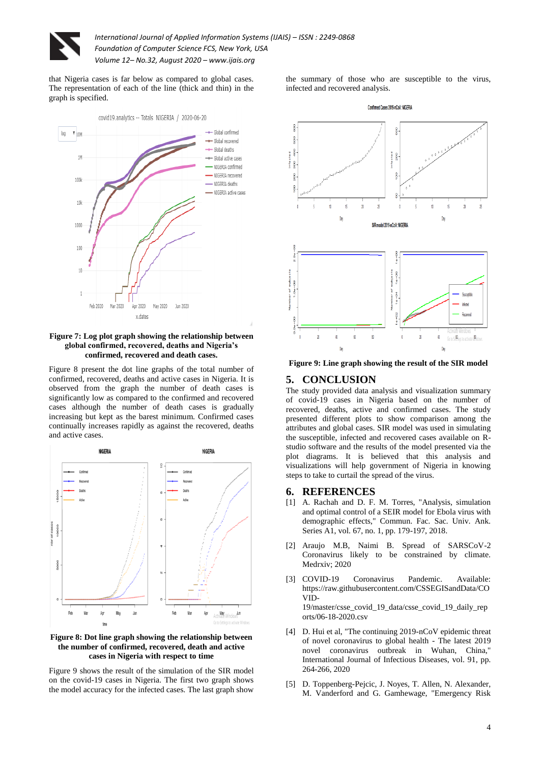

that Nigeria cases is far below as compared to global cases. The representation of each of the line (thick and thin) in the graph is specified.



**Figure 7: Log plot graph showing the relationship between global confirmed, recovered, deaths and Nigeria's confirmed, recovered and death cases.**

Figure 8 present the dot line graphs of the total number of confirmed, recovered, deaths and active cases in Nigeria. It is observed from the graph the number of death cases is significantly low as compared to the confirmed and recovered cases although the number of death cases is gradually increasing but kept as the barest minimum. Confirmed cases continually increases rapidly as against the recovered, deaths and active cases.



#### **Figure 8: Dot line graph showing the relationship between the number of confirmed, recovered, death and active cases in Nigeria with respect to time**

Figure 9 shows the result of the simulation of the SIR model on the covid-19 cases in Nigeria. The first two graph shows the model accuracy for the infected cases. The last graph show

the summary of those who are susceptible to the virus, infected and recovered analysis.



**Figure 9: Line graph showing the result of the SIR model**

#### **5. CONCLUSION**

The study provided data analysis and visualization summary of covid-19 cases in Nigeria based on the number of recovered, deaths, active and confirmed cases. The study presented different plots to show comparison among the attributes and global cases. SIR model was used in simulating the susceptible, infected and recovered cases available on Rstudio software and the results of the model presented via the plot diagrams. It is believed that this analysis and visualizations will help government of Nigeria in knowing steps to take to curtail the spread of the virus.

#### **6. REFERENCES**

- [1] A. Rachah and D. F. M. Torres, "Analysis, simulation and optimal control of a SEIR model for Ebola virus with demographic effects," Commun. Fac. Sac. Univ. Ank. Series A1, vol. 67, no. 1, pp. 179-197, 2018.
- [2] Araujo M.B, Naimi B. Spread of SARSCoV-2 Coronavirus likely to be constrained by climate. Medrxiv; 2020
- [3] COVID-19 Coronavirus Pandemic. Available: https://raw.githubusercontent.com/CSSEGISandData/CO VID-19/master/csse\_covid\_19\_data/csse\_covid\_19\_daily\_rep

orts/06-18-2020.csv [4] D. Hui et al. "The continuing 2019-nCoV epidemic threat

- of novel coronavirus to global health The latest 2019 novel coronavirus outbreak in Wuhan, China," International Journal of Infectious Diseases, vol. 91, pp. 264-266, 2020
- [5] D. Toppenberg-Pejcic, J. Noyes, T. Allen, N. Alexander, M. Vanderford and G. Gamhewage, "Emergency Risk